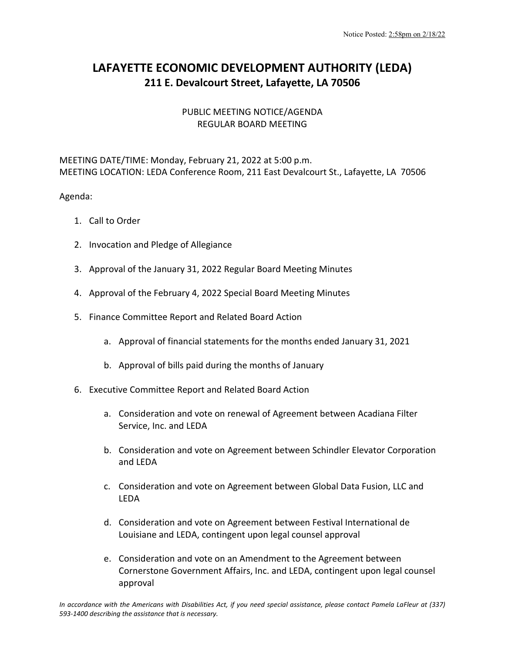## **LAFAYETTE ECONOMIC DEVELOPMENT AUTHORITY (LEDA) 211 E. Devalcourt Street, Lafayette, LA 70506**

## PUBLIC MEETING NOTICE/AGENDA REGULAR BOARD MEETING

MEETING DATE/TIME: Monday, February 21, 2022 at 5:00 p.m. MEETING LOCATION: LEDA Conference Room, 211 East Devalcourt St., Lafayette, LA 70506

Agenda:

- 1. Call to Order
- 2. Invocation and Pledge of Allegiance
- 3. Approval of the January 31, 2022 Regular Board Meeting Minutes
- 4. Approval of the February 4, 2022 Special Board Meeting Minutes
- 5. Finance Committee Report and Related Board Action
	- a. Approval of financial statements for the months ended January 31, 2021
	- b. Approval of bills paid during the months of January
- 6. Executive Committee Report and Related Board Action
	- a. Consideration and vote on renewal of Agreement between Acadiana Filter Service, Inc. and LEDA
	- b. Consideration and vote on Agreement between Schindler Elevator Corporation and LEDA
	- c. Consideration and vote on Agreement between Global Data Fusion, LLC and LEDA
	- d. Consideration and vote on Agreement between Festival International de Louisiane and LEDA, contingent upon legal counsel approval
	- e. Consideration and vote on an Amendment to the Agreement between Cornerstone Government Affairs, Inc. and LEDA, contingent upon legal counsel approval